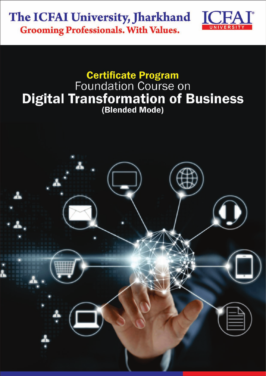## The ICFAI University, Jharkhand **Grooming Professionals. With Values.**



# **Certificate Program** Foundation Course on **Digital Transformation of Business**

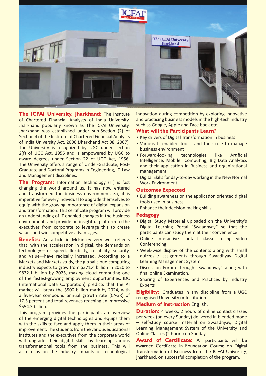

**The ICFAI University, Jharkhand:** The Institute of Chartered Financial Analysts of India University, Jharkhand popularly known as The ICFAI University, Jharkhand was established under sub-Section (2) of Section 4 of the Institute of Chartered Financial Analysts of India University Act, 2006 (Jharkhand Act 08, 2007). The University is recognized by UGC under section  $2(f)$  of UGC Act, 1956 and is empowered by UGC to award degrees under Section 22 of UGC Act, 1956. The University offers a range of Under-Graduate, Post-Graduate and Doctoral Programs in Engineering, IT, Law and Management disciplines.

**The Program:** Information Technology (IT) is fast changing the world around us. It has now entered and transformed the business environment. So, it is imperative for every individual to upgrade themselves to equip with the growing importance of digital expansion and transformation. This certificate program will provide an understanding of IT-enabled changes in the business environment, and provide an insightful platform to the executives from corporate to leverage this to create values and win competitive advantages.

**Benefits:** An article in McKinsey very well reflects that; with the acceleration in digital, the demands on technology-for speed, flexibility, reliability, security, and value-have radically increased. According to a Markets and Markets study, the global cloud computing industry expects to grow from \$371.4 billion in 2020 to \$832.1 billion by 2025, making cloud computing one of the fastest-growing employment opportunities. IDC (International Data Corporation) predicts that the AI market will break the \$500 billion mark by 2024, with a five-year compound annual growth rate (CAGR) of 17.5 percent and total revenues reaching an impressive \$554.3 billion.

This program provides the participants an overview of the emerging digital technologies and equips them with the skills to face and apply them in their areas of improvement. The students from the various educational institutes and the executives from the corporate world will upgrade their digital skills by learning various transformational tools from the business. This will also focus on the industry impacts of technological

innovation during competition by exploring innovative and practicing business models in the high-tech industry such as Google, Apple and Face book etc.

### **What will the Participants learn?**

- Key drivers of Digital Transformation in business
- Various IT enabled tools and their role to manage business environment
- $\bullet$  Forward-looking technologies like Artificial Intelligence, Mobile Computing, Big Data Analytics and their application in Business and organizational management
- Digital Skills for day-to-day working in the New Normal Work Environment

#### **Outcomes Expected**

- Building awareness on the application oriented digital tools used in business
- Enhance their decision making skills

#### **Pedagogy**

- Digital Study Material uploaded on the University's Digital Learning Portal "Swaadhyay" so that the participants can study them at their convenience
- Online interactive contact classes using video Conferencing
- Week-wise display of the contents along with small quizzes / assignments through Swaadhyay Digital Learning Management System
- Discussion Forum through "Swaadhyay" along with final online Examination.
- Sharing of Experiences and Practices by Industry Experts

**Eligibility:** Graduates in any discipline from a UGC recognised University or Institution.

#### **Medium of Instruction English.**

**Duration:** 4 weeks, 2 hours of online contact classes per week (on every Sunday) delivered in blended mode - self-study course material on Swaadhyay, Digital Learning Management System of the University and Online Classes (2 hours) on Sundays.

Award of Certificate: All participants will be awarded Certificate in Foundation Course on Digital Transformation of Business from the ICFAI University, Jharkhand, on successful completion of the program.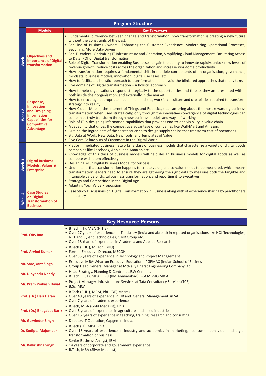| <b>Program Structure</b> |                                                                                                                                            |                                                                                                                                                                                                                                                                                                                                                                                                                                                                                                                                                                                                                                                                                                                                                                                                                                                                                                                                                                                                                                                                                         |  |  |  |  |
|--------------------------|--------------------------------------------------------------------------------------------------------------------------------------------|-----------------------------------------------------------------------------------------------------------------------------------------------------------------------------------------------------------------------------------------------------------------------------------------------------------------------------------------------------------------------------------------------------------------------------------------------------------------------------------------------------------------------------------------------------------------------------------------------------------------------------------------------------------------------------------------------------------------------------------------------------------------------------------------------------------------------------------------------------------------------------------------------------------------------------------------------------------------------------------------------------------------------------------------------------------------------------------------|--|--|--|--|
|                          | <b>Module</b>                                                                                                                              | <b>Key Takeaways</b>                                                                                                                                                                                                                                                                                                                                                                                                                                                                                                                                                                                                                                                                                                                                                                                                                                                                                                                                                                                                                                                                    |  |  |  |  |
| Week 1                   | <b>Objectives and</b><br><b>Importance of Digital</b><br>transformation                                                                    | . Fundamental difference between change and transformation, how transformation is creating a new future<br>without the constraints of the past.<br>• For Line of Business Owners - Enhancing the Customer Experience, Modernizing Operational Processes,<br><b>Becoming More Data-Driven</b><br>• For IT Leaders - Optimizing IT Infrastructure and Operation, Simplifying Cloud Management, Facilitating Access<br>to Data, ROI of Digital transformation<br>. Role of Digital Transformation enabling Businesses to gain the ability to innovate rapidly, unlock new levels of<br>revenue growth, reduce costs across the organization and increase workforce productivity.<br>• How transformation requires a fundamental shift in multiple components of an organisation, governance,<br>mindsets, business models, innovation, digital use cases, etc.<br>. How to facilitate a holistic approach to transformation, and avoid the blinkered approaches that many take.<br>• Five domains of Digital transformation - A holistic approach                                          |  |  |  |  |
| Week <sub>2</sub>        | Response,<br><b>Innovation</b><br>and Designing<br><b>Information</b><br><b>Capabilities for</b><br><b>Competitive</b><br><b>Advantage</b> | • How to help organisations respond strategically to the opportunities and threats they are presented with -<br>both inside their organisation, and externally in the market.<br>• How to encourage appropriate leadership mindsets, workforce culture and capabilities required to transform<br>strategy into reality<br>. How Cloud, Mobile, the Internet of Things and Robotics, etc. can bring about the most rewarding business<br>transformation when used strategically, only through the innovative convergence of digital technologies can<br>companies truly transform through new business models and ways of working<br>. Role of IT in designing information capabilities that provides end-to-end visibility in value chain.<br>• A capability that drives the competitive advantage of companies like Wall-Mart and Amazon.<br>• Outline the ingredients of the secret sauce so to design supply chains that transform cost of operations<br>• Big Data at Work: New Data, New Tools, and Templates of Value<br>• Five Core Behaviours of Customers in the Digital World |  |  |  |  |
| Week <sub>3</sub>        | <b>Digital Business</b><br><b>Models, Values &amp;</b><br><b>Enterprise</b>                                                                | . Platform mediated business networks, a class of business models that characterize a variety of digital goods<br>companies like Facebook, Apple, and Amazon etc.<br>. Knowledge of this class of business models will help design business models for digital goods as well as<br>compete with them effectively<br>• Designing Your Digital Business Model for Success<br>• Understand that transformation happens to create value, and so value needs to be measured, which means<br>transformation leaders need to ensure they are gathering the right data to measure both the tangible and<br>intangible value of digital business transformation, and reporting it to executives,<br>• Strategy and Competition in the Digital Age<br>• Adapting Your Value Proposition                                                                                                                                                                                                                                                                                                           |  |  |  |  |
| Week4                    | <b>Case Studies</b><br>on Digital<br><b>Transformation of</b><br><b>Business</b>                                                           | • Case Study Discussions on Digital Transformation in Business along with of experience sharing by practitioners<br>in industry                                                                                                                                                                                                                                                                                                                                                                                                                                                                                                                                                                                                                                                                                                                                                                                                                                                                                                                                                         |  |  |  |  |

| <b>Key Resource Persons</b>   |                                                                                                                                                                                                                                                                 |  |  |  |
|-------------------------------|-----------------------------------------------------------------------------------------------------------------------------------------------------------------------------------------------------------------------------------------------------------------|--|--|--|
| <b>Prof. ORS Rao</b>          | • B Tech(IIT), MBA (NITIE)<br>• Over 27 years of experience in IT Industry (India and abroad) in reputed organisations like HCL Technologies,<br>NIIT and Cyient Technologies, GMR Group etc.<br>• Over 18 Years of experience in Academia and Applied Research |  |  |  |
| <b>Prof. Arvind Kumar</b>     | • B.Tech (BHU), M.Tech (BHU)<br>• Former Executive Director, MECON<br>• Over 35 years of experience in Technology and Project Management                                                                                                                        |  |  |  |
| <b>Mr. Sarojkant Singh</b>    | • Executive MBA(Wharton Executive Education), PGPMAX (Indian School of Business)<br>• Group Head General Manager at McNally Bharat Engineering Company Ltd.                                                                                                     |  |  |  |
| <b>Mr. Dibyendu Nandy</b>     | • Head-Strategy, Planning & Control at JSW Cement.<br>• B Tech(IIEST), MBA, EPSL(IIM Ahmadabad), PGCMBMC(MICA)                                                                                                                                                  |  |  |  |
| <b>Mr. Prem Prakash Dayal</b> | • Project Manager, Infrastructure Services at Tata Consultancy Services(TCS)<br>• B.Sc, MCA                                                                                                                                                                     |  |  |  |
| Prof. (Dr.) Hari Haran        | • B.Tech (BHU), MBM, PhD (BIT, Mesra)<br>• Over 40 years of experience in HR and General Management in SAIL<br>• Over 7 years of academic experience                                                                                                            |  |  |  |
| Prof. (Dr.) Bhagabat Barik    | • B.Tech, MBA (Gold Medalist), PhD<br>• Over 6 years of experience in agriculture and allied industries<br>• Over 16 years of experience in teaching, training, research and consulting                                                                         |  |  |  |
| <b>Mr. Gurvinder Singh</b>    | · Director, IT Operation, Capgemini India.                                                                                                                                                                                                                      |  |  |  |
| <b>Dr. Sudipta Majumdar</b>   | • B.Tech (IT), MBA, PhD<br>. Over 13 years of experience in industry and academics in marketing, consumer behaviour and digital<br>transformation of business                                                                                                   |  |  |  |
| Mr. Balkrishna Singh          | • Senior Business Analyst, IBM<br>• 14 years of corporate and government experience.<br>• B.Tech, MBA (Silver Medalist)                                                                                                                                         |  |  |  |